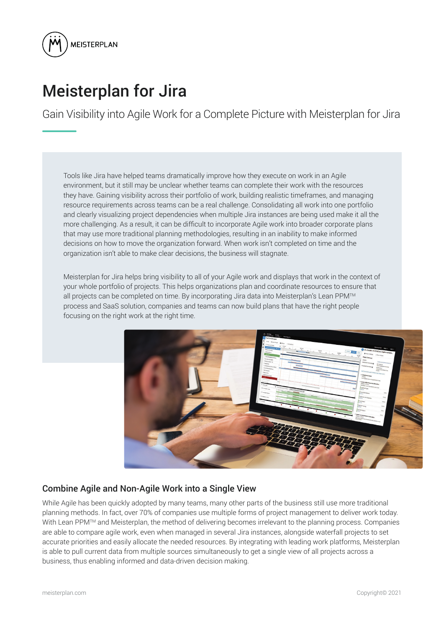

# Meisterplan for Jira

Gain Visibility into Agile Work for a Complete Picture with Meisterplan for Jira

Tools like Jira have helped teams dramatically improve how they execute on work in an Agile environment, but it still may be unclear whether teams can complete their work with the resources they have. Gaining visibility across their portfolio of work, building realistic timeframes, and managing resource requirements across teams can be a real challenge. Consolidating all work into one portfolio and clearly visualizing project dependencies when multiple Jira instances are being used make it all the more challenging. As a result, it can be difficult to incorporate Agile work into broader corporate plans that may use more traditional planning methodologies, resulting in an inability to make informed decisions on how to move the organization forward. When work isn't completed on time and the organization isn't able to make clear decisions, the business will stagnate.

Meisterplan for Jira helps bring visibility to all of your Agile work and displays that work in the context of your whole portfolio of projects. This helps organizations plan and coordinate resources to ensure that all projects can be completed on time. By incorporating Jira data into Meisterplan's Lean PPM™ process and SaaS solution, companies and teams can now build plans that have the right people focusing on the right work at the right time.



# Combine Agile and Non-Agile Work into a Single View

While Agile has been quickly adopted by many teams, many other parts of the business still use more traditional planning methods. In fact, over 70% of companies use multiple forms of project management to deliver work today. With Lean PPM<sup>™</sup> and Meisterplan, the method of delivering becomes irrelevant to the planning process. Companies are able to compare agile work, even when managed in several Jira instances, alongside waterfall projects to set accurate priorities and easily allocate the needed resources. By integrating with leading work platforms, Meisterplan is able to pull current data from multiple sources simultaneously to get a single view of all projects across a business, thus enabling informed and data-driven decision making.